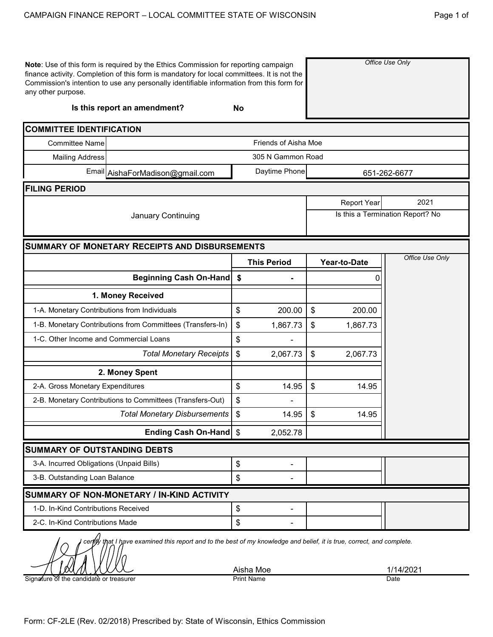|          | <b>NSIN</b>     | Page 1 of |
|----------|-----------------|-----------|
| ıе<br>or | Office Use Only |           |
|          | ha Moe          |           |

| Note: Use of this form is required by the Ethics Commission for reporting campaign<br>finance activity. Completion of this form is mandatory for local committees. It is not the<br>Commission's intention to use any personally identifiable information from this form for<br>any other purpose. |                                                           |               |                      |    | Office Use Only    |                                  |
|----------------------------------------------------------------------------------------------------------------------------------------------------------------------------------------------------------------------------------------------------------------------------------------------------|-----------------------------------------------------------|---------------|----------------------|----|--------------------|----------------------------------|
|                                                                                                                                                                                                                                                                                                    | Is this report an amendment?                              | <b>No</b>     |                      |    |                    |                                  |
| <b>COMMITTEE IDENTIFICATION</b>                                                                                                                                                                                                                                                                    |                                                           |               |                      |    |                    |                                  |
| <b>Committee Name</b>                                                                                                                                                                                                                                                                              |                                                           |               | Friends of Aisha Moe |    |                    |                                  |
| <b>Mailing Address</b>                                                                                                                                                                                                                                                                             |                                                           |               | 305 N Gammon Road    |    |                    |                                  |
|                                                                                                                                                                                                                                                                                                    | Email AishaForMadison@gmail.com                           | Daytime Phone |                      |    |                    | 651-262-6677                     |
| <b>FILING PERIOD</b>                                                                                                                                                                                                                                                                               |                                                           |               |                      |    |                    |                                  |
|                                                                                                                                                                                                                                                                                                    |                                                           |               |                      |    | <b>Report Year</b> | 2021                             |
|                                                                                                                                                                                                                                                                                                    | January Continuing                                        |               |                      |    |                    | Is this a Termination Report? No |
|                                                                                                                                                                                                                                                                                                    |                                                           |               |                      |    |                    |                                  |
|                                                                                                                                                                                                                                                                                                    | <b>SUMMARY OF MONETARY RECEIPTS AND DISBURSEMENTS</b>     |               |                      |    |                    |                                  |
|                                                                                                                                                                                                                                                                                                    |                                                           |               | <b>This Period</b>   |    | Year-to-Date       | Office Use Only                  |
|                                                                                                                                                                                                                                                                                                    | Beginning Cash On-Hand                                    | \$            |                      |    |                    |                                  |
| 1. Money Received                                                                                                                                                                                                                                                                                  |                                                           |               |                      |    |                    |                                  |
| \$<br>1-A. Monetary Contributions from Individuals                                                                                                                                                                                                                                                 |                                                           |               | 200.00               | \$ | 200.00             |                                  |
| 1-B. Monetary Contributions from Committees (Transfers-In)                                                                                                                                                                                                                                         |                                                           |               | 1,867.73             | \$ | 1,867.73           |                                  |
| 1-C. Other Income and Commercial Loans                                                                                                                                                                                                                                                             |                                                           | \$            |                      |    |                    |                                  |
|                                                                                                                                                                                                                                                                                                    | <b>Total Monetary Receipts</b>                            | \$            | 2,067.73             | \$ | 2,067.73           |                                  |
|                                                                                                                                                                                                                                                                                                    | 2. Money Spent                                            |               |                      |    |                    |                                  |
| 2-A. Gross Monetary Expenditures                                                                                                                                                                                                                                                                   |                                                           | \$            | 14.95                | \$ | 14.95              |                                  |
|                                                                                                                                                                                                                                                                                                    | 2-B. Monetary Contributions to Committees (Transfers-Out) | \$            |                      |    |                    |                                  |
|                                                                                                                                                                                                                                                                                                    | <b>Total Monetary Disbursements</b>                       | \$            | 14.95                | \$ | 14.95              |                                  |
|                                                                                                                                                                                                                                                                                                    | Ending Cash On-Hand \$                                    |               | 2,052.78             |    |                    |                                  |
| <b>SUMMARY OF OUTSTANDING DEBTS</b>                                                                                                                                                                                                                                                                |                                                           |               |                      |    |                    |                                  |
| 3-A. Incurred Obligations (Unpaid Bills)                                                                                                                                                                                                                                                           |                                                           | \$            | -                    |    |                    |                                  |
| 3-B. Outstanding Loan Balance                                                                                                                                                                                                                                                                      |                                                           | \$            |                      |    |                    |                                  |
|                                                                                                                                                                                                                                                                                                    | SUMMARY OF NON-MONETARY / IN-KIND ACTIVITY                |               |                      |    |                    |                                  |
| 1-D. In-Kind Contributions Received                                                                                                                                                                                                                                                                |                                                           | \$            | -                    |    |                    |                                  |
| 2-C. In-Kind Contributions Made                                                                                                                                                                                                                                                                    |                                                           | \$            |                      |    |                    |                                  |

Signature of the candidate or treasurer

Aisha Moe<br>Print Name 1/14/2021<br>Date Date Print Name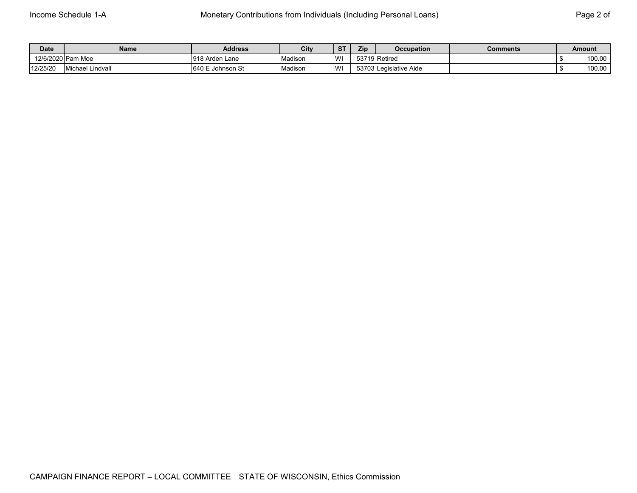| <b>Date</b>       | Name                    | <b>Address</b>      | City    | <b>ST</b> | Zip | <b>Occupation</b>      | Comments | <b>Amount</b> |
|-------------------|-------------------------|---------------------|---------|-----------|-----|------------------------|----------|---------------|
| 12/6/2020 Pam Moe |                         | 1918 Arden Lane     | Madison | W!        |     | 53719 Retired          |          | 100.00        |
| 12/25/20          | <b>Michael Lindvall</b> | 640 E<br>Johnson St | Madison | W         |     | 53703 Legislative Aide |          | 100.00        |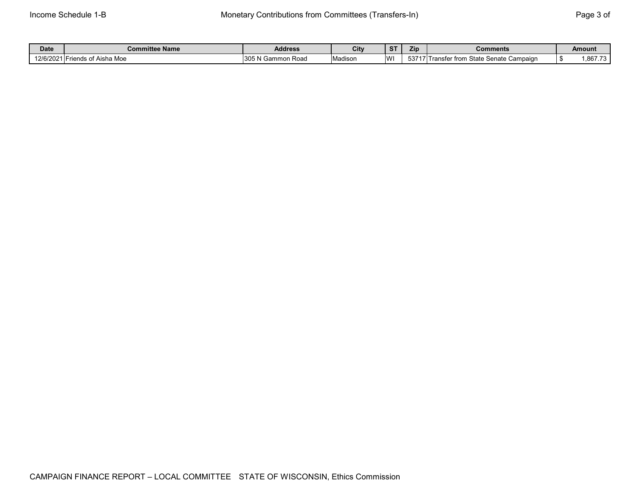| Date        | <b>Committee Name</b>                               | <b>Address</b>                       | City    | $\sim$<br>$\mathbf{z}$ | Zip    | Comments                                                   | Amount  |
|-------------|-----------------------------------------------------|--------------------------------------|---------|------------------------|--------|------------------------------------------------------------|---------|
| 12/6/2021 5 | Aisha Moe<br>$\sim$ Aleho $\sim$<br>nndr<br>71 IU 3 | 305 <sub>h</sub><br>Road<br>I Gammon | Madison | <b>W</b>               | 537171 | : Senate Campaign<br>anster from<br>ピャヘキヘ<br>$\cdot$ ) are | .867.73 |